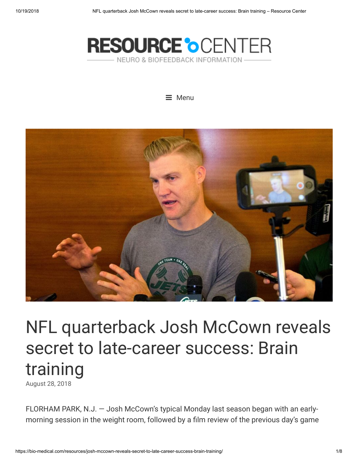





# NFL quarterback Josh McCown reveals secret to late-career success: Brain training

[August](https://bio-medical.com/resources/josh-mccown-reveals-secret-to-late-career-success-brain-training/) 28, 2018

FLORHAM PARK, N.J. — Josh McCown's typical Monday last season began with an earlymorning session in the weight room, followed by a film review of the previous day's game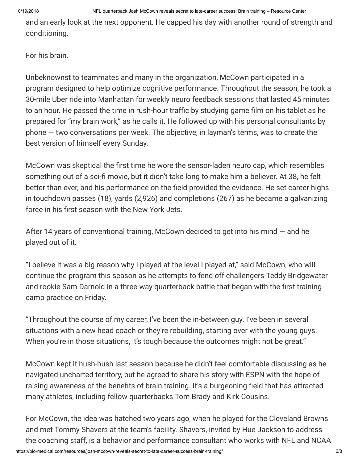and an early look at the next opponent. He capped his day with another round of strength and conditioning.

For his brain.

Unbeknownst to teammates and many in the organization, McCown participated in a program designed to help optimize cognitive performance. Throughout the season, he took a 30-mile Uber ride into Manhattan for weekly neuro feedback sessions that lasted 45 minutes to an hour. He passed the time in rush-hour traffic by studying game film on his tablet as he prepared for "my brain work," as he calls it. He followed up with his personal consultants by  $phone - two conversations per week.$  The objective, in layman's terms, was to create the best version of himself every Sunday.

McCown was skeptical the first time he wore the sensor-laden neuro cap, which resembles something out of a sci-fi movie, but it didn't take long to make him a believer. At 38, he felt better than ever, and his performance on the field provided the evidence. He set career highs in touchdown passes (18), yards (2,926) and completions (267) as he became a galvanizing force in his first season with the New York Jets.

After 14 years of conventional training, McCown decided to get into his mind  $-$  and he played out of it.

"I believe it was a big reason why I played at the level I played at," said McCown, who will continue the program this season as he attempts to fend off challengers Teddy Bridgewater and rookie Sam Darnold in a three-way quarterback battle that began with the first trainingcamp practice on Friday.

"Throughout the course of my career, I've been the in-between guy. I've been in several situations with a new head coach or they're rebuilding, starting over with the young guys. When you're in those situations, it's tough because the outcomes might not be great."

McCown kept it hush-hush last season because he didn't feel comfortable discussing as he navigated uncharted territory, but he agreed to share his story with ESPN with the hope of raising awareness of the benefits of brain training. It's a burgeoning field that has attracted many athletes, including fellow quarterbacks Tom Brady and Kirk Cousins.

For McCown, the idea was hatched two years ago, when he played for the Cleveland Browns and met Tommy Shavers at the team's facility. Shavers, invited by Hue Jackson to address the coaching staff, is a behavior and performance consultant who works with NFL and NCAA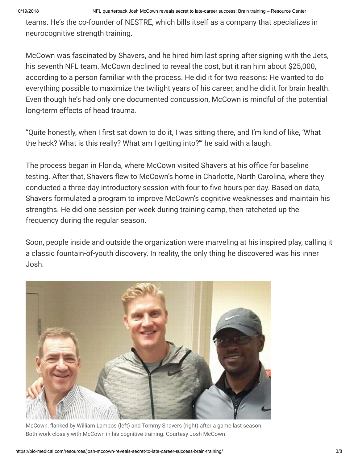teams. He's the co-founder of NESTRE, which bills itself as a company that specializes in neurocognitive strength training.

McCown was fascinated by Shavers, and he hired him last spring after signing with the Jets, his seventh NFL team. McCown declined to reveal the cost, but it ran him about \$25,000, according to a person familiar with the process. He did it for two reasons: He wanted to do everything possible to maximize the twilight years of his career, and he did it for brain health. Even though he's had only one documented concussion, McCown is mindful of the potential long-term effects of head trauma.

"Quite honestly, when I first sat down to do it, I was sitting there, and I'm kind of like, 'What the heck? What is this really? What am I getting into?'" he said with a laugh.

The process began in Florida, where McCown visited Shavers at his office for baseline testing. After that, Shavers flew to McCown's home in Charlotte, North Carolina, where they conducted a three-day introductory session with four to five hours per day. Based on data, Shavers formulated a program to improve McCown's cognitive weaknesses and maintain his strengths. He did one session per week during training camp, then ratcheted up the frequency during the regular season.

Soon, people inside and outside the organization were marveling at his inspired play, calling it a classic fountain-of-youth discovery. In reality, the only thing he discovered was his inner Josh.



McCown, flanked by William Lambos (left) and Tommy Shavers (right) after a game last season. Both work closely with McCown in his cognitive training. Courtesy Josh McCown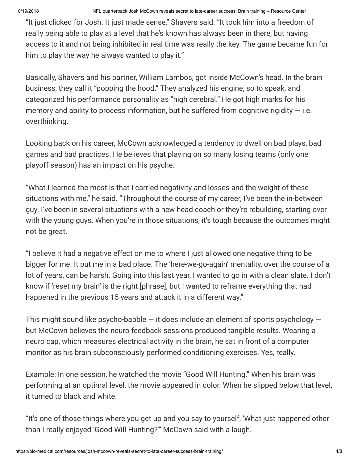"It just clicked for Josh. It just made sense," Shavers said. "It took him into a freedom of really being able to play at a level that he's known has always been in there, but having access to it and not being inhibited in real time was really the key. The game became fun for him to play the way he always wanted to play it."

Basically, Shavers and his partner, William Lambos, got inside McCown's head. In the brain business, they call it "popping the hood." They analyzed his engine, so to speak, and categorized his performance personality as "high cerebral." He got high marks for his memory and ability to process information, but he suffered from cognitive rigidity  $-$  i.e. overthinking.

Looking back on his career, McCown acknowledged a tendency to dwell on bad plays, bad games and bad practices. He believes that playing on so many losing teams (only one playoff season) has an impact on his psyche.

"What I learned the most is that I carried negativity and losses and the weight of these situations with me," he said. "Throughout the course of my career, I've been the in-between guy. I've been in several situations with a new head coach or they're rebuilding, starting over with the young guys. When you're in those situations, it's tough because the outcomes might not be great.

"I believe it had a negative effect on me to where I just allowed one negative thing to be bigger for me. It put me in a bad place. The 'here-we-go-again' mentality, over the course of a lot of years, can be harsh. Going into this last year, I wanted to go in with a clean slate. I don't know if 'reset my brain' is the right [phrase], but I wanted to reframe everything that had happened in the previous 15 years and attack it in a different way."

This might sound like psycho-babble  $-$  it does include an element of sports psychology  $$ but McCown believes the neuro feedback sessions produced tangible results. Wearing a neuro cap, which measures electrical activity in the brain, he sat in front of a computer monitor as his brain subconsciously performed conditioning exercises. Yes, really.

Example: In one session, he watched the movie "Good Will Hunting." When his brain was performing at an optimal level, the movie appeared in color. When he slipped below that level, it turned to black and white.

"It's one of those things where you get up and you say to yourself, 'What just happened other than I really enjoyed 'Good Will Hunting?'" McCown said with a laugh.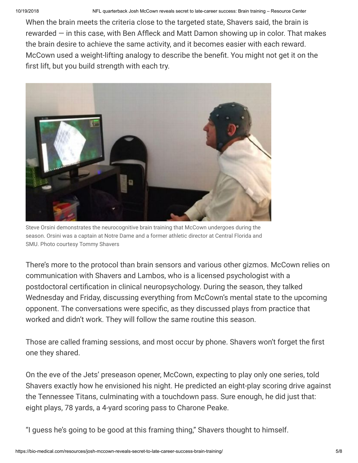When the brain meets the criteria close to the targeted state, Shavers said, the brain is rewarded  $-$  in this case, with Ben Affleck and Matt Damon showing up in color. That makes the brain desire to achieve the same activity, and it becomes easier with each reward. McCown used a weight-lifting analogy to describe the benefit. You might not get it on the first lift, but you build strength with each try.



Steve Orsini demonstrates the neurocognitive brain training that McCown undergoes during the season. Orsini was a captain at Notre Dame and a former athletic director at Central Florida and SMU. Photo courtesy Tommy Shavers

There's more to the protocol than brain sensors and various other gizmos. McCown relies on communication with Shavers and Lambos, who is a licensed psychologist with a postdoctoral certification in clinical neuropsychology. During the season, they talked Wednesday and Friday, discussing everything from McCown's mental state to the upcoming opponent. The conversations were specific, as they discussed plays from practice that worked and didn't work. They will follow the same routine this season.

Those are called framing sessions, and most occur by phone. Shavers won't forget the first one they shared.

On the eve of the Jets' preseason opener, McCown, expecting to play only one series, told Shavers exactly how he envisioned his night. He predicted an eight-play scoring drive against the Tennessee Titans, culminating with a touchdown pass. Sure enough, he did just that: eight plays, 78 yards, a 4-yard scoring pass to Charone Peake.

"I guess he's going to be good at this framing thing," Shavers thought to himself.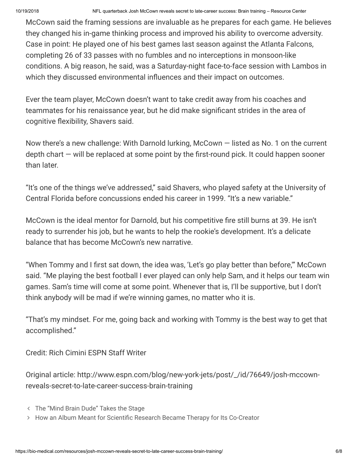McCown said the framing sessions are invaluable as he prepares for each game. He believes they changed his in-game thinking process and improved his ability to overcome adversity. Case in point: He played one of his best games last season against the Atlanta Falcons, completing 26 of 33 passes with no fumbles and no interceptions in monsoon-like conditions. A big reason, he said, was a Saturday-night face-to-face session with Lambos in which they discussed environmental influences and their impact on outcomes.

Ever the team player, McCown doesn't want to take credit away from his coaches and teammates for his renaissance year, but he did make significant strides in the area of cognitive flexibility, Shavers said.

Now there's a new challenge: With Darnold lurking, McCown — listed as No. 1 on the current depth chart — will be replaced at some point by the first-round pick. It could happen sooner than later.

"It's one of the things we've addressed," said Shavers, who played safety at the University of Central Florida before concussions ended his career in 1999. "It's a new variable."

McCown is the ideal mentor for Darnold, but his competitive fire still burns at 39. He isn't ready to surrender his job, but he wants to help the rookie's development. It's a delicate balance that has become McCown's new narrative.

"When Tommy and I first sat down, the idea was, 'Let's go play better than before,'" McCown said. "Me playing the best football I ever played can only help Sam, and it helps our team win games. Sam's time will come at some point. Whenever that is, I'll be supportive, but I don't think anybody will be mad if we're winning games, no matter who it is.

"That's my mindset. For me, going back and working with Tommy is the best way to get that accomplished."

Credit: Rich Cimini ESPN Staff Writer

Original article: http://www.espn.com/blog/new-york-jets/post/\_/id/76649/josh-mccownreveals-secret-to-late-career-success-brain-training

- [The "Mind Brain Dude"](https://bio-medical.com/resources/the-mind-brain-dude-takes-the-stage/) Takes the Stage
- How an Album Meant for Scientific Research [Became Therapy](https://bio-medical.com/resources/how-an-album-meant-for-scientific-research-became-therapy-for-its-co-creator/) for Its Co-Creator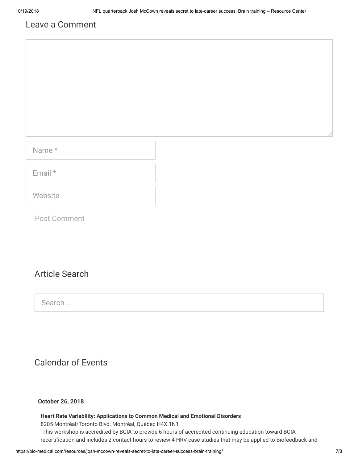# Leave a Comment

Name \*

Email \*

**Website** 

Post Comment

# Article Search

Search …

# Calendar of Events

## **October 26, 2018**

## **Heart Rate Variability: Applications to Common Medical and Emotional Disorders**

8205 Montréal/Toronto Blvd. Montréal, Québec H4X 1N1

"This workshop is accredited by BCIA to provide 6 hours of accredited continuing education toward BCIA recertification and includes 2 contact hours to review 4 HRV case studies that may be applied to Biofeedback and